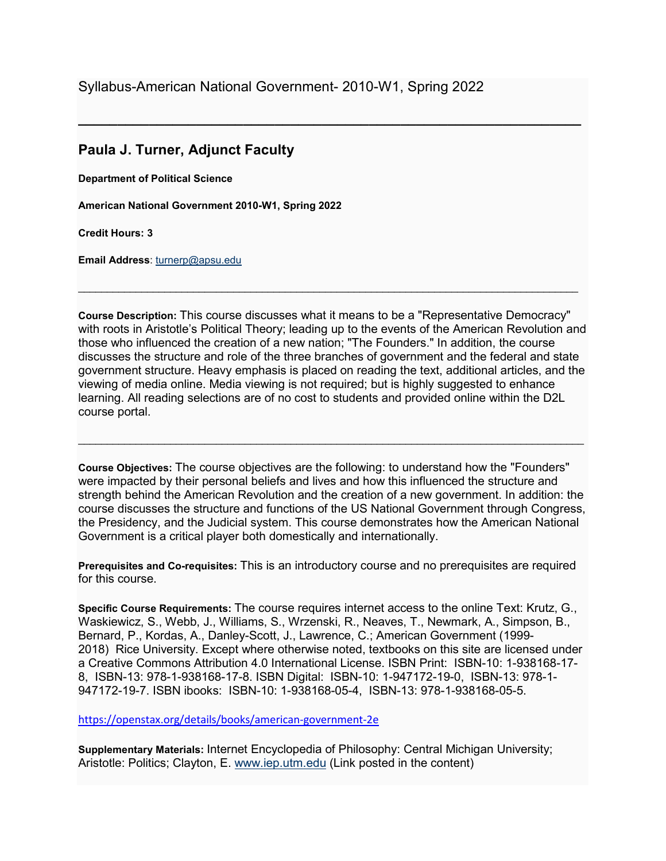Syllabus-American National Government- 2010-W1, Spring 2022

## **Paula J. Turner, Adjunct Faculty**

**Department of Political Science**

**American National Government 2010-W1, Spring 2022**

**Credit Hours: 3**

**Email Address**: [turnerp@apsu.edu](mailto:turnerp@apsu.edu) 

**Course Description:** This course discusses what it means to be a "Representative Democracy" with roots in Aristotle's Political Theory; leading up to the events of the American Revolution and those who influenced the creation of a new nation; "The Founders." In addition, the course discusses the structure and role of the three branches of government and the federal and state government structure. Heavy emphasis is placed on reading the text, additional articles, and the viewing of media online. Media viewing is not required; but is highly suggested to enhance learning. All reading selections are of no cost to students and provided online within the D2L course portal.

 $\_$  ,  $\_$  ,  $\_$  ,  $\_$  ,  $\_$  ,  $\_$  ,  $\_$  ,  $\_$  ,  $\_$  ,  $\_$  ,  $\_$  ,  $\_$  ,  $\_$  ,  $\_$  ,  $\_$  ,  $\_$  ,  $\_$  ,  $\_$  ,  $\_$  ,  $\_$  ,  $\_$  ,  $\_$  ,  $\_$  ,  $\_$  ,  $\_$  ,  $\_$  ,  $\_$  ,  $\_$  ,  $\_$  ,  $\_$  ,  $\_$  ,  $\_$  ,  $\_$  ,  $\_$  ,  $\_$  ,  $\_$  ,  $\_$  ,

**\_\_\_\_\_\_\_\_\_\_\_\_\_\_\_\_\_\_\_\_\_\_\_\_\_\_\_\_\_\_\_\_\_\_\_\_\_\_\_\_\_\_\_\_\_\_\_\_\_\_\_\_\_\_\_\_\_\_\_\_\_\_\_\_**

**Course Objectives:** The course objectives are the following: to understand how the "Founders" were impacted by their personal beliefs and lives and how this influenced the structure and strength behind the American Revolution and the creation of a new government. In addition: the course discusses the structure and functions of the US National Government through Congress, the Presidency, and the Judicial system. This course demonstrates how the American National Government is a critical player both domestically and internationally.

 $\ldots$  . The contribution of the contribution of the contribution of the contribution of the contribution of the contribution of the contribution of the contribution of the contribution of the contribution of the contribut

**Prerequisites and Co-requisites:** This is an introductory course and no prerequisites are required for this course.

**Specific Course Requirements:** The course requires internet access to the online Text: Krutz, G., Waskiewicz, S., Webb, J., Williams, S., Wrzenski, R., Neaves, T., Newmark, A., Simpson, B., Bernard, P., Kordas, A., Danley-Scott, J., Lawrence, C.; American Government (1999- 2018) Rice University. Except where otherwise noted, textbooks on this site are licensed under a Creative Commons Attribution 4.0 International License. ISBN Print: ISBN-10: 1-938168-17- 8, ISBN-13: 978-1-938168-17-8. ISBN Digital: ISBN-10: 1-947172-19-0, ISBN-13: 978-1- 947172-19-7. ISBN ibooks: ISBN-10: 1-938168-05-4, ISBN-13: 978-1-938168-05-5.

<https://openstax.org/details/books/american-government-2e>

**Supplementary Materials:** Internet Encyclopedia of Philosophy: Central Michigan University; Aristotle: Politics; Clayton, E. [www.iep.utm.edu](http://www.iep.utm.edu/) (Link posted in the content)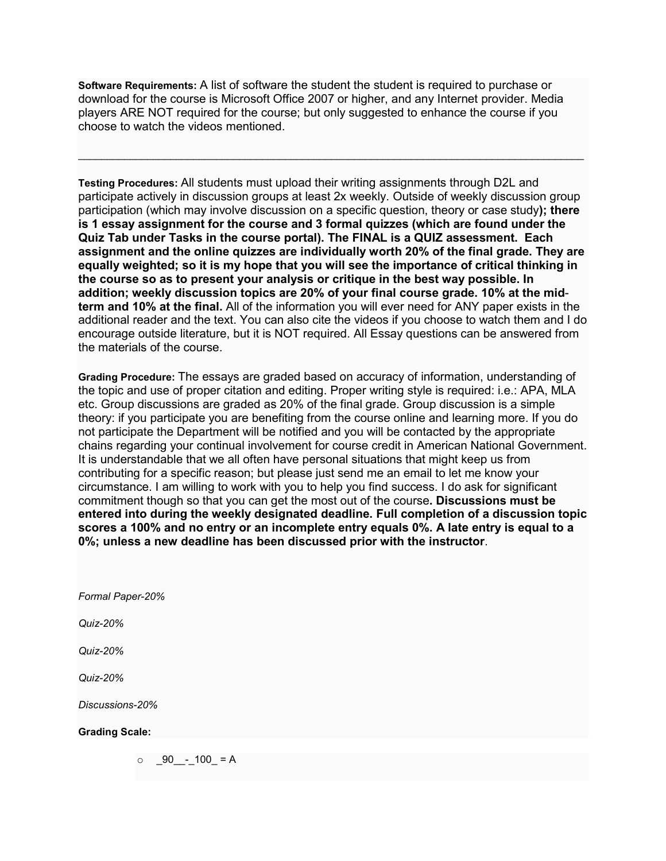**Software Requirements:** A list of software the student the student is required to purchase or download for the course is Microsoft Office 2007 or higher, and any Internet provider. Media players ARE NOT required for the course; but only suggested to enhance the course if you choose to watch the videos mentioned.

 $\ldots$  . The contribution of the contribution of the contribution of the contribution of the contribution of the contribution of the contribution of the contribution of the contribution of the contribution of the contribut

**Testing Procedures:** All students must upload their writing assignments through D2L and participate actively in discussion groups at least 2x weekly. Outside of weekly discussion group participation (which may involve discussion on a specific question, theory or case study**); there is 1 essay assignment for the course and 3 formal quizzes (which are found under the Quiz Tab under Tasks in the course portal). The FINAL is a QUIZ assessment. Each assignment and the online quizzes are individually worth 20% of the final grade. They are equally weighted; so it is my hope that you will see the importance of critical thinking in the course so as to present your analysis or critique in the best way possible. In addition; weekly discussion topics are 20% of your final course grade. 10% at the midterm and 10% at the final.** All of the information you will ever need for ANY paper exists in the additional reader and the text. You can also cite the videos if you choose to watch them and I do encourage outside literature, but it is NOT required. All Essay questions can be answered from the materials of the course.

**Grading Procedure:** The essays are graded based on accuracy of information, understanding of the topic and use of proper citation and editing. Proper writing style is required: i.e.: APA, MLA etc. Group discussions are graded as 20% of the final grade. Group discussion is a simple theory: if you participate you are benefiting from the course online and learning more. If you do not participate the Department will be notified and you will be contacted by the appropriate chains regarding your continual involvement for course credit in American National Government. It is understandable that we all often have personal situations that might keep us from contributing for a specific reason; but please just send me an email to let me know your circumstance. I am willing to work with you to help you find success. I do ask for significant commitment though so that you can get the most out of the course**. Discussions must be entered into during the weekly designated deadline. Full completion of a discussion topic scores a 100% and no entry or an incomplete entry equals 0%. A late entry is equal to a 0%; unless a new deadline has been discussed prior with the instructor**.

*Formal Paper-20%*

*Quiz-20%*

*Quiz-20%*

*Quiz-20%*

*Discussions-20%*

## **Grading Scale:**

 $\circ$  \_90\_\_-\_100\_ = A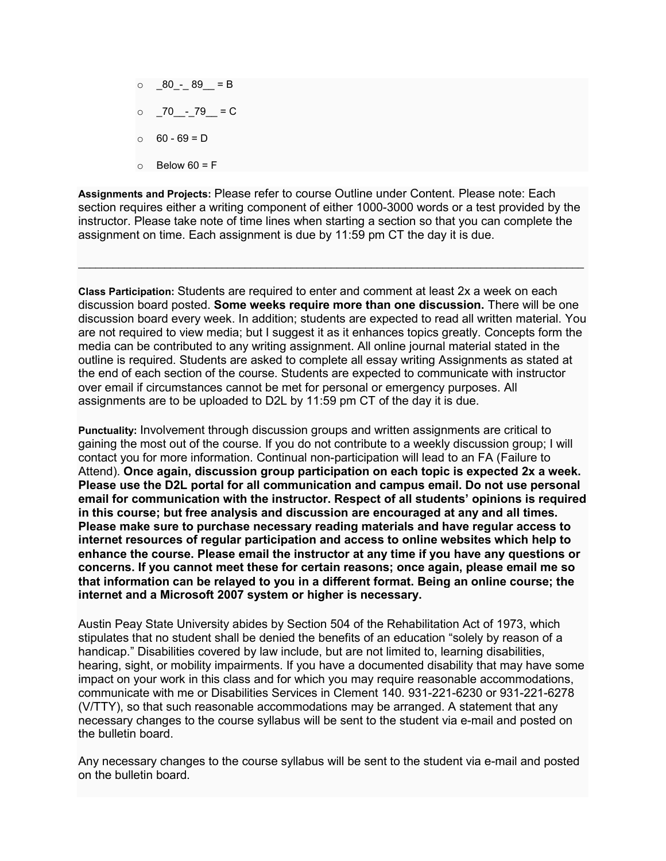$\circ$   $80 - 89 = B$  $\circ$  70 - 79 = C  $0 - 69 = D$  $\circ$  Below 60 = F

**Assignments and Projects:** Please refer to course Outline under Content. Please note: Each section requires either a writing component of either 1000-3000 words or a test provided by the instructor. Please take note of time lines when starting a section so that you can complete the assignment on time. Each assignment is due by 11:59 pm CT the day it is due.

 $\_$  ,  $\_$  ,  $\_$  ,  $\_$  ,  $\_$  ,  $\_$  ,  $\_$  ,  $\_$  ,  $\_$  ,  $\_$  ,  $\_$  ,  $\_$  ,  $\_$  ,  $\_$  ,  $\_$  ,  $\_$  ,  $\_$  ,  $\_$  ,  $\_$  ,  $\_$  ,  $\_$  ,  $\_$  ,  $\_$  ,  $\_$  ,  $\_$  ,  $\_$  ,  $\_$  ,  $\_$  ,  $\_$  ,  $\_$  ,  $\_$  ,  $\_$  ,  $\_$  ,  $\_$  ,  $\_$  ,  $\_$  ,  $\_$  ,

**Class Participation:** Students are required to enter and comment at least 2x a week on each discussion board posted. **Some weeks require more than one discussion.** There will be one discussion board every week. In addition; students are expected to read all written material. You are not required to view media; but I suggest it as it enhances topics greatly. Concepts form the media can be contributed to any writing assignment. All online journal material stated in the outline is required. Students are asked to complete all essay writing Assignments as stated at the end of each section of the course. Students are expected to communicate with instructor over email if circumstances cannot be met for personal or emergency purposes. All assignments are to be uploaded to D2L by 11:59 pm CT of the day it is due.

**Punctuality:** Involvement through discussion groups and written assignments are critical to gaining the most out of the course. If you do not contribute to a weekly discussion group; I will contact you for more information. Continual non-participation will lead to an FA (Failure to Attend). **Once again, discussion group participation on each topic is expected 2x a week. Please use the D2L portal for all communication and campus email. Do not use personal email for communication with the instructor. Respect of all students' opinions is required in this course; but free analysis and discussion are encouraged at any and all times. Please make sure to purchase necessary reading materials and have regular access to internet resources of regular participation and access to online websites which help to enhance the course. Please email the instructor at any time if you have any questions or concerns. If you cannot meet these for certain reasons; once again, please email me so that information can be relayed to you in a different format. Being an online course; the internet and a Microsoft 2007 system or higher is necessary.**

Austin Peay State University abides by Section 504 of the Rehabilitation Act of 1973, which stipulates that no student shall be denied the benefits of an education "solely by reason of a handicap." Disabilities covered by law include, but are not limited to, learning disabilities, hearing, sight, or mobility impairments. If you have a documented disability that may have some impact on your work in this class and for which you may require reasonable accommodations, communicate with me or Disabilities Services in Clement 140. 931-221-6230 or 931-221-6278 (V/TTY), so that such reasonable accommodations may be arranged. A statement that any necessary changes to the course syllabus will be sent to the student via e-mail and posted on the bulletin board.

Any necessary changes to the course syllabus will be sent to the student via e-mail and posted on the bulletin board.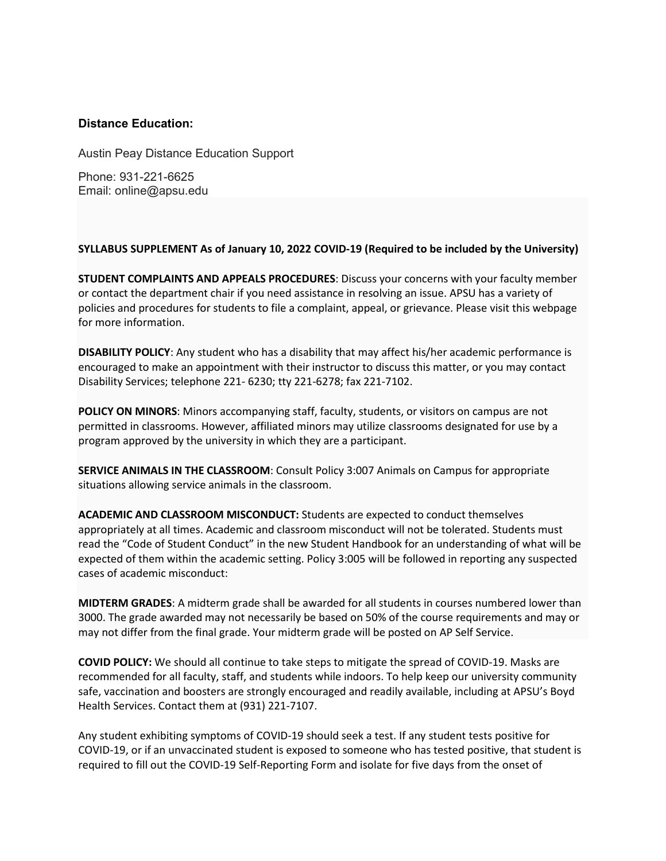## **Distance Education:**

Austin Peay Distance Education Support

Phone: 931-221-6625 Email: online@apsu.edu

## **SYLLABUS SUPPLEMENT As of January 10, 2022 COVID-19 (Required to be included by the University)**

**STUDENT COMPLAINTS AND APPEALS PROCEDURES**: Discuss your concerns with your faculty member or contact the department chair if you need assistance in resolving an issue. APSU has a variety of policies and procedures for students to file a complaint, appeal, or grievance. Please visit this webpage for more information.

**DISABILITY POLICY**: Any student who has a disability that may affect his/her academic performance is encouraged to make an appointment with their instructor to discuss this matter, or you may contact Disability Services; telephone 221- 6230; tty 221-6278; fax 221-7102.

**POLICY ON MINORS**: Minors accompanying staff, faculty, students, or visitors on campus are not permitted in classrooms. However, affiliated minors may utilize classrooms designated for use by a program approved by the university in which they are a participant.

**SERVICE ANIMALS IN THE CLASSROOM**: Consult Policy 3:007 Animals on Campus for appropriate situations allowing service animals in the classroom.

**ACADEMIC AND CLASSROOM MISCONDUCT:** Students are expected to conduct themselves appropriately at all times. Academic and classroom misconduct will not be tolerated. Students must read the "Code of Student Conduct" in the new Student Handbook for an understanding of what will be expected of them within the academic setting. Policy 3:005 will be followed in reporting any suspected cases of academic misconduct:

**MIDTERM GRADES**: A midterm grade shall be awarded for all students in courses numbered lower than 3000. The grade awarded may not necessarily be based on 50% of the course requirements and may or may not differ from the final grade. Your midterm grade will be posted on AP Self Service.

**COVID POLICY:** We should all continue to take steps to mitigate the spread of COVID-19. Masks are recommended for all faculty, staff, and students while indoors. To help keep our university community safe, vaccination and boosters are strongly encouraged and readily available, including at APSU's Boyd Health Services. Contact them at (931) 221-7107.

Any student exhibiting symptoms of COVID-19 should seek a test. If any student tests positive for COVID-19, or if an unvaccinated student is exposed to someone who has tested positive, that student is required to fill out the COVID-19 Self-Reporting Form and isolate for five days from the onset of